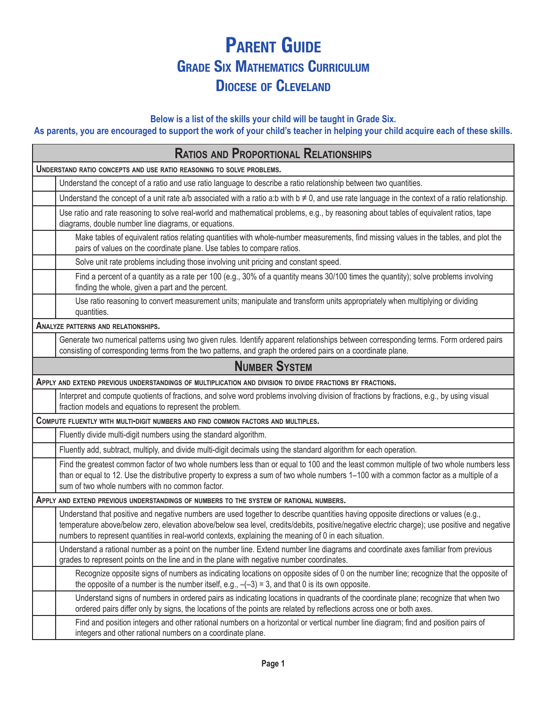## **Parent Guide Grade Six Mathematics Curriculum Diocese of Cleveland**

## **Below is a list of the skills your child will be taught in Grade Six.**

## **As parents, you are encouraged to support the work of your child's teacher in helping your child acquire each of these skills.**

| <b>RATIOS AND PROPORTIONAL RELATIONSHIPS</b>                                                                                                                                                                                                                                                                                                                                                 |  |  |
|----------------------------------------------------------------------------------------------------------------------------------------------------------------------------------------------------------------------------------------------------------------------------------------------------------------------------------------------------------------------------------------------|--|--|
| UNDERSTAND RATIO CONCEPTS AND USE RATIO REASONING TO SOLVE PROBLEMS.                                                                                                                                                                                                                                                                                                                         |  |  |
| Understand the concept of a ratio and use ratio language to describe a ratio relationship between two quantities.                                                                                                                                                                                                                                                                            |  |  |
| Understand the concept of a unit rate a/b associated with a ratio a:b with $b \neq 0$ , and use rate language in the context of a ratio relationship.                                                                                                                                                                                                                                        |  |  |
| Use ratio and rate reasoning to solve real-world and mathematical problems, e.g., by reasoning about tables of equivalent ratios, tape<br>diagrams, double number line diagrams, or equations.                                                                                                                                                                                               |  |  |
| Make tables of equivalent ratios relating quantities with whole-number measurements, find missing values in the tables, and plot the<br>pairs of values on the coordinate plane. Use tables to compare ratios.                                                                                                                                                                               |  |  |
| Solve unit rate problems including those involving unit pricing and constant speed.                                                                                                                                                                                                                                                                                                          |  |  |
| Find a percent of a quantity as a rate per 100 (e.g., 30% of a quantity means 30/100 times the quantity); solve problems involving<br>finding the whole, given a part and the percent.                                                                                                                                                                                                       |  |  |
| Use ratio reasoning to convert measurement units; manipulate and transform units appropriately when multiplying or dividing<br>quantities.                                                                                                                                                                                                                                                   |  |  |
| <b>ANALYZE PATTERNS AND RELATIONSHIPS.</b>                                                                                                                                                                                                                                                                                                                                                   |  |  |
| Generate two numerical patterns using two given rules. Identify apparent relationships between corresponding terms. Form ordered pairs<br>consisting of corresponding terms from the two patterns, and graph the ordered pairs on a coordinate plane.                                                                                                                                        |  |  |
| <b>NUMBER SYSTEM</b>                                                                                                                                                                                                                                                                                                                                                                         |  |  |
| Apply and extend previous understandings of multiplication and division to divide fractions by fractions.                                                                                                                                                                                                                                                                                    |  |  |
| Interpret and compute quotients of fractions, and solve word problems involving division of fractions by fractions, e.g., by using visual<br>fraction models and equations to represent the problem.                                                                                                                                                                                         |  |  |
| COMPUTE FLUENTLY WITH MULTI-DIGIT NUMBERS AND FIND COMMON FACTORS AND MULTIPLES.                                                                                                                                                                                                                                                                                                             |  |  |
| Fluently divide multi-digit numbers using the standard algorithm.                                                                                                                                                                                                                                                                                                                            |  |  |
| Fluently add, subtract, multiply, and divide multi-digit decimals using the standard algorithm for each operation.                                                                                                                                                                                                                                                                           |  |  |
| Find the greatest common factor of two whole numbers less than or equal to 100 and the least common multiple of two whole numbers less<br>than or equal to 12. Use the distributive property to express a sum of two whole numbers 1-100 with a common factor as a multiple of a<br>sum of two whole numbers with no common factor.                                                          |  |  |
| Apply and extend previous understandings of numbers to the system of rational numbers.                                                                                                                                                                                                                                                                                                       |  |  |
| Understand that positive and negative numbers are used together to describe quantities having opposite directions or values (e.g.,<br>temperature above/below zero, elevation above/below sea level, credits/debits, positive/negative electric charge); use positive and negative<br>numbers to represent quantities in real-world contexts, explaining the meaning of 0 in each situation. |  |  |
| Understand a rational number as a point on the number line. Extend number line diagrams and coordinate axes familiar from previous<br>grades to represent points on the line and in the plane with negative number coordinates.                                                                                                                                                              |  |  |
| Recognize opposite signs of numbers as indicating locations on opposite sides of 0 on the number line; recognize that the opposite of<br>the opposite of a number is the number itself, e.g., $-(-3) = 3$ , and that 0 is its own opposite.                                                                                                                                                  |  |  |
| Understand signs of numbers in ordered pairs as indicating locations in quadrants of the coordinate plane; recognize that when two<br>ordered pairs differ only by signs, the locations of the points are related by reflections across one or both axes.                                                                                                                                    |  |  |
| Find and position integers and other rational numbers on a horizontal or vertical number line diagram; find and position pairs of<br>integers and other rational numbers on a coordinate plane.                                                                                                                                                                                              |  |  |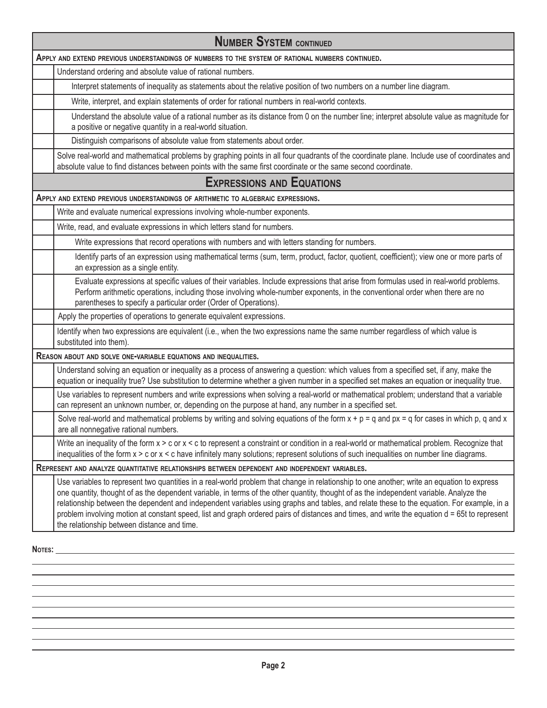| <b>NUMBER SYSTEM CONTINUED</b>                                                                   |                                                                                                                                                                                                                                                                                                                                                                                                                                                                                                                                                                                                                                   |  |
|--------------------------------------------------------------------------------------------------|-----------------------------------------------------------------------------------------------------------------------------------------------------------------------------------------------------------------------------------------------------------------------------------------------------------------------------------------------------------------------------------------------------------------------------------------------------------------------------------------------------------------------------------------------------------------------------------------------------------------------------------|--|
| APPLY AND EXTEND PREVIOUS UNDERSTANDINGS OF NUMBERS TO THE SYSTEM OF RATIONAL NUMBERS CONTINUED. |                                                                                                                                                                                                                                                                                                                                                                                                                                                                                                                                                                                                                                   |  |
|                                                                                                  | Understand ordering and absolute value of rational numbers.                                                                                                                                                                                                                                                                                                                                                                                                                                                                                                                                                                       |  |
|                                                                                                  | Interpret statements of inequality as statements about the relative position of two numbers on a number line diagram.                                                                                                                                                                                                                                                                                                                                                                                                                                                                                                             |  |
|                                                                                                  | Write, interpret, and explain statements of order for rational numbers in real-world contexts.                                                                                                                                                                                                                                                                                                                                                                                                                                                                                                                                    |  |
|                                                                                                  | Understand the absolute value of a rational number as its distance from 0 on the number line; interpret absolute value as magnitude for<br>a positive or negative quantity in a real-world situation.                                                                                                                                                                                                                                                                                                                                                                                                                             |  |
|                                                                                                  | Distinguish comparisons of absolute value from statements about order.                                                                                                                                                                                                                                                                                                                                                                                                                                                                                                                                                            |  |
|                                                                                                  | Solve real-world and mathematical problems by graphing points in all four quadrants of the coordinate plane. Include use of coordinates and<br>absolute value to find distances between points with the same first coordinate or the same second coordinate.                                                                                                                                                                                                                                                                                                                                                                      |  |
|                                                                                                  | <b>EXPRESSIONS AND EQUATIONS</b>                                                                                                                                                                                                                                                                                                                                                                                                                                                                                                                                                                                                  |  |
|                                                                                                  | APPLY AND EXTEND PREVIOUS UNDERSTANDINGS OF ARITHMETIC TO ALGEBRAIC EXPRESSIONS.                                                                                                                                                                                                                                                                                                                                                                                                                                                                                                                                                  |  |
|                                                                                                  | Write and evaluate numerical expressions involving whole-number exponents.                                                                                                                                                                                                                                                                                                                                                                                                                                                                                                                                                        |  |
|                                                                                                  | Write, read, and evaluate expressions in which letters stand for numbers.                                                                                                                                                                                                                                                                                                                                                                                                                                                                                                                                                         |  |
|                                                                                                  | Write expressions that record operations with numbers and with letters standing for numbers.                                                                                                                                                                                                                                                                                                                                                                                                                                                                                                                                      |  |
|                                                                                                  | Identify parts of an expression using mathematical terms (sum, term, product, factor, quotient, coefficient); view one or more parts of<br>an expression as a single entity.                                                                                                                                                                                                                                                                                                                                                                                                                                                      |  |
|                                                                                                  | Evaluate expressions at specific values of their variables. Include expressions that arise from formulas used in real-world problems.<br>Perform arithmetic operations, including those involving whole-number exponents, in the conventional order when there are no<br>parentheses to specify a particular order (Order of Operations).                                                                                                                                                                                                                                                                                         |  |
|                                                                                                  | Apply the properties of operations to generate equivalent expressions.                                                                                                                                                                                                                                                                                                                                                                                                                                                                                                                                                            |  |
|                                                                                                  | Identify when two expressions are equivalent (i.e., when the two expressions name the same number regardless of which value is<br>substituted into them).                                                                                                                                                                                                                                                                                                                                                                                                                                                                         |  |
| REASON ABOUT AND SOLVE ONE-VARIABLE EQUATIONS AND INEQUALITIES.                                  |                                                                                                                                                                                                                                                                                                                                                                                                                                                                                                                                                                                                                                   |  |
|                                                                                                  | Understand solving an equation or inequality as a process of answering a question: which values from a specified set, if any, make the<br>equation or inequality true? Use substitution to determine whether a given number in a specified set makes an equation or inequality true.                                                                                                                                                                                                                                                                                                                                              |  |
|                                                                                                  | Use variables to represent numbers and write expressions when solving a real-world or mathematical problem; understand that a variable<br>can represent an unknown number, or, depending on the purpose at hand, any number in a specified set.                                                                                                                                                                                                                                                                                                                                                                                   |  |
|                                                                                                  | Solve real-world and mathematical problems by writing and solving equations of the form $x + p = q$ and $px = q$ for cases in which p, q and x<br>are all nonnegative rational numbers.                                                                                                                                                                                                                                                                                                                                                                                                                                           |  |
|                                                                                                  | Write an inequality of the form x > c or x < c to represent a constraint or condition in a real-world or mathematical problem. Recognize that<br>inequalities of the form x > c or x < c have infinitely many solutions; represent solutions of such inequalities on number line diagrams.                                                                                                                                                                                                                                                                                                                                        |  |
| REPRESENT AND ANALYZE QUANTITATIVE RELATIONSHIPS BETWEEN DEPENDENT AND INDEPENDENT VARIABLES.    |                                                                                                                                                                                                                                                                                                                                                                                                                                                                                                                                                                                                                                   |  |
|                                                                                                  | Use variables to represent two quantities in a real-world problem that change in relationship to one another; write an equation to express<br>one quantity, thought of as the dependent variable, in terms of the other quantity, thought of as the independent variable. Analyze the<br>relationship between the dependent and independent variables using graphs and tables, and relate these to the equation. For example, in a<br>problem involving motion at constant speed, list and graph ordered pairs of distances and times, and write the equation d = 65t to represent<br>the relationship between distance and time. |  |

**Notes:**